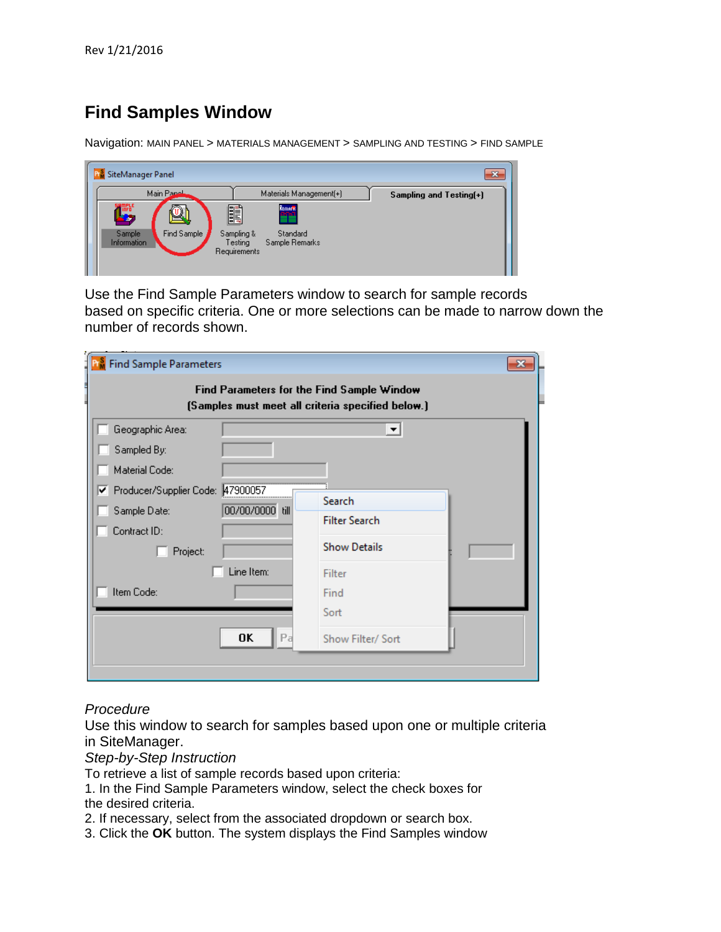## **Find Samples Window**

Navigation: MAIN PANEL > MATERIALS MANAGEMENT > SAMPLING AND TESTING > FIND SAMPLE

| SiteManager Panel                                     |                                                                                                                                                                                                                                                                                                                               | -23                     |
|-------------------------------------------------------|-------------------------------------------------------------------------------------------------------------------------------------------------------------------------------------------------------------------------------------------------------------------------------------------------------------------------------|-------------------------|
| Main Panel                                            | Materials Management(+)                                                                                                                                                                                                                                                                                                       | Sampling and Testing(+) |
| line Le<br>خه<br>Find Sample<br>Sample<br>Information | le de la propieta de la propieta de la propieta de la propieta de la propieta de la propieta de la propieta d<br>De la propieta de la propieta de la propieta de la propieta de la propieta de la propieta de la propieta de la<br><b>kmark</b><br>EEE<br>Standard<br>Sampling &<br>Sample Remarks<br>Testing<br>Requirements |                         |

Use the Find Sample Parameters window to search for sample records based on specific criteria. One or more selections can be made to narrow down the number of records shown.

| <b>PM</b> Find Sample Parameters                                                                        |                                                       | x |
|---------------------------------------------------------------------------------------------------------|-------------------------------------------------------|---|
| Find Parameters for the Find Sample Window<br>(Samples must meet all criteria specified below.)         |                                                       |   |
| Geographic Area:<br>Sampled By:<br>Material Code:                                                       | $\overline{\mathbf{v}}$                               |   |
| 47900057<br>Producer/Supplier Code:<br>▿<br>00/00/0000 till<br>Sample Date:<br>Contract ID:<br>Project: | Search<br><b>Filter Search</b><br><b>Show Details</b> |   |
| Line Item:<br>Item Code:<br>0K<br>Pa                                                                    | Filter<br>Find<br>Sort<br>Show Filter/ Sort           |   |
|                                                                                                         |                                                       |   |

## *Procedure*

Use this window to search for samples based upon one or multiple criteria in SiteManager.

*Step-by-Step Instruction*

To retrieve a list of sample records based upon criteria:

1. In the Find Sample Parameters window, select the check boxes for the desired criteria.

2. If necessary, select from the associated dropdown or search box.

3. Click the **OK** button. The system displays the Find Samples window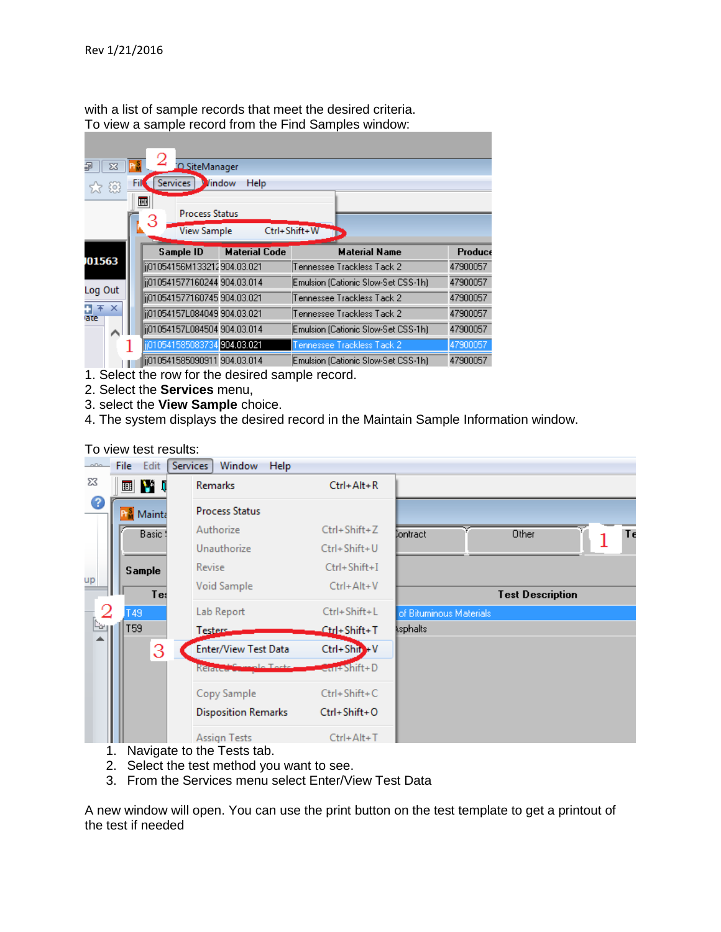with a list of sample records that meet the desired criteria. To view a sample record from the Find Samples window:

| X<br>品          | Fil |        | O SiteManager<br>Services            | Vindow<br><b>Help</b> |                                     |          |
|-----------------|-----|--------|--------------------------------------|-----------------------|-------------------------------------|----------|
| 3               |     | 圃<br>З | <b>Process Status</b><br>View Sample |                       | Ctrl+Shift+W                        |          |
|                 |     |        | Sample ID                            | <b>Material Code</b>  | <b>Material Name</b>                | Produce  |
| 101563          |     |        | ij01054156M133212904.03.021          |                       | Tennessee Trackless Tack 2          | 47900057 |
|                 |     |        | jj010541577160244 904.03.014         |                       | Emulsion (Cationic Slow-Set CSS-1h) | 47900057 |
| Log Out         |     |        | jj010541577160745 904.03.021         |                       | Tennessee Trackless Tack 2          | 47900057 |
| ×<br>등 조<br>ate |     |        | ij01054157L084049 904.03.021         |                       | Tennessee Trackless Tack 2          | 47900057 |
|                 |     |        | ii01054157L084504 904.03.014         |                       | Emulsion (Cationic Slow-Set CSS-1h) | 47900057 |
|                 |     |        | ij010541585083734 904.03.021         |                       | Tennessee Trackless Tack 2          | 47900057 |
|                 |     |        | ij010541585090911 904.03.014         |                       | Emulsion (Cationic Slow-Set CSS-1h) | 47900057 |

- 1. Select the row for the desired sample record.
- 2. Select the **Services** menu,
- 3. select the **View Sample** choice.
- 4. The system displays the desired record in the Maintain Sample Information window.

## To view test results:

| $-0.000$  | <b>File</b> | Edit   | <b>Services</b><br>Window<br>Help |                    |                         |
|-----------|-------------|--------|-----------------------------------|--------------------|-------------------------|
| Σ3        |             | 画窗中    | <b>Remarks</b>                    | $Ctrl + Alt + R$   |                         |
| B         |             | Mainta | <b>Process Status</b>             |                    |                         |
|           |             | Basic! | Authorize                         | Ctrl+Shift+Z       | Other<br>Iontract<br>Tε |
|           |             |        | Unauthorize                       | Ctrl+Shift+U       |                         |
|           |             | Sample | Revise                            | Ctrl+Shift+I       |                         |
| up        |             | Te:    | Void Sample                       | Ctrl+Alt+V         | <b>Test Description</b> |
|           | T49         |        | Lab Report                        | Ctrl+Shift+L       | of Bituminous Materials |
| بدنا<br>▲ | <b>T59</b>  |        | Testers.                          | Ctrl+Shift+T       | <b>ksphalts</b>         |
|           |             | 3      | Enter/View Test Data              | Ctrl+Shit+V        |                         |
|           |             |        | Reinream Commin Torte             | $=$ ur+Shift+D     |                         |
|           |             |        | Copy Sample                       | $Ctrl + Shift + C$ |                         |
|           |             |        | <b>Disposition Remarks</b>        | Ctrl+Shift+O       |                         |
|           |             |        | <b>Assign Tests</b>               | Ctrl+Alt+T         |                         |

- 1. Navigate to the Tests tab.
- 2. Select the test method you want to see.
- 3. From the Services menu select Enter/View Test Data

A new window will open. You can use the print button on the test template to get a printout of the test if needed